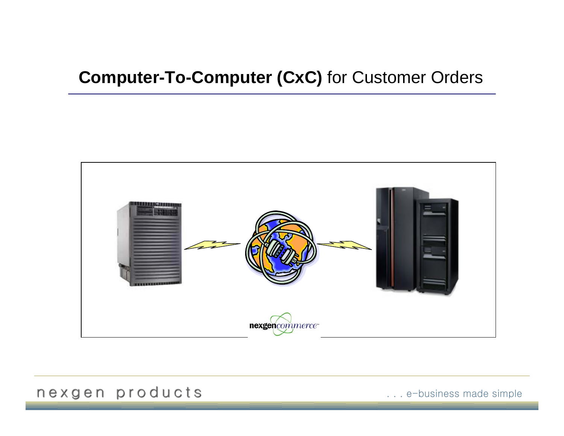# **Computer-To-Computer (CxC)** for Customer Orders



## nexgen products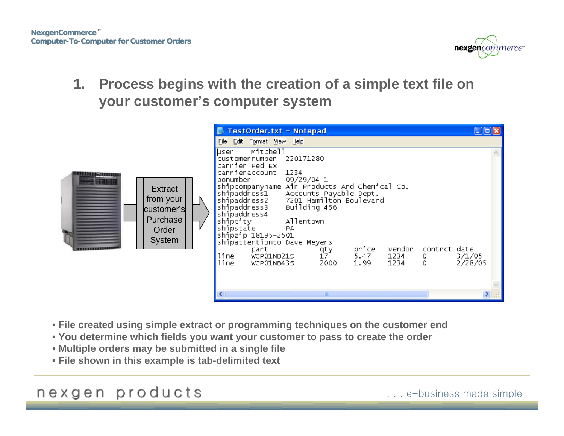

**1. Process begins with the creation of a simple text file on your customer's computer system**



- **File created using simple extract or programming techniques on the customer end**
- **You determine which fields you want your customer to pass to create the order**
- **Multiple orders may be submitted in a single file**
- **File shown in this example is tab-delimited text**

## nexgen products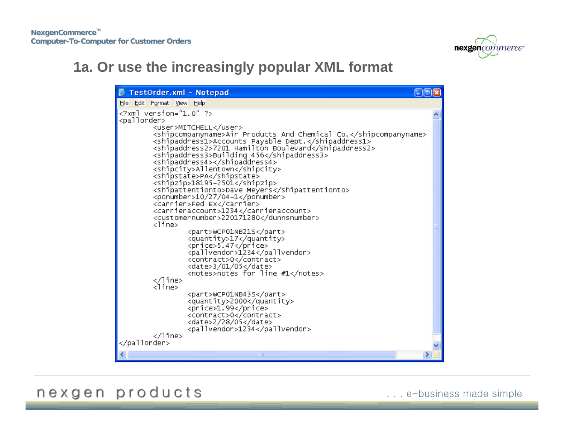

## **1a. Or use the increasingly popular XML format**

| TestOrder.xml - Notepad                                                                                     |  |
|-------------------------------------------------------------------------------------------------------------|--|
| File Edit Format View Help                                                                                  |  |
| xml version="1.0" ?                                                                                         |  |
| <pallorder><br/><user>MITCHELL</user></pallorder>                                                           |  |
| <shipcompanyname>Air Products And Chemical Co.</shipcompanyname>                                            |  |
| <shipaddress1>Accounts Payable Dept.</shipaddress1><br><shipaddress2>7201 Hamilton Boulevard</shipaddress2> |  |
| <shipaddress3>Building 456</shipaddress3>                                                                   |  |
| <shipaddress4></shipaddress4>                                                                               |  |
| <shipcity>Allentown</shipcity><br><shipstate>PA</shipstate>                                                 |  |
| <shipzip>18195-2501</shipzip>                                                                               |  |
| <shipattentionto>Dave Meyers</shipattentionto><br><ponumber>10/27/04-1</ponumber>                           |  |
| <carrier>Fed Ex</carrier>                                                                                   |  |
| <carrieraccount>1234</carrieraccount>                                                                       |  |
| <customernumber>220171280<br/><line></line></customernumber>                                                |  |
| <part>WCP01NB21S</part>                                                                                     |  |
| <quantity>17</quantity><br><price>5.47</price>                                                              |  |
| <pallvendor>1234</pallvendor>                                                                               |  |
| <contract>0</contract>                                                                                      |  |
| <date>3/01/05</date><br><notes>notes for line #1</notes>                                                    |  |
| <br><line></line>                                                                                           |  |
| <part>WCP01NB43S</part>                                                                                     |  |
| <quantity>2000</quantity><br><price>1.99</price>                                                            |  |
| <contract>0</contract>                                                                                      |  |
| <date>2/28/05</date>                                                                                        |  |
| <pallvendor>1234</pallvendor><br>                                                                           |  |
|                                                                                                             |  |
| ШI                                                                                                          |  |

nexgen products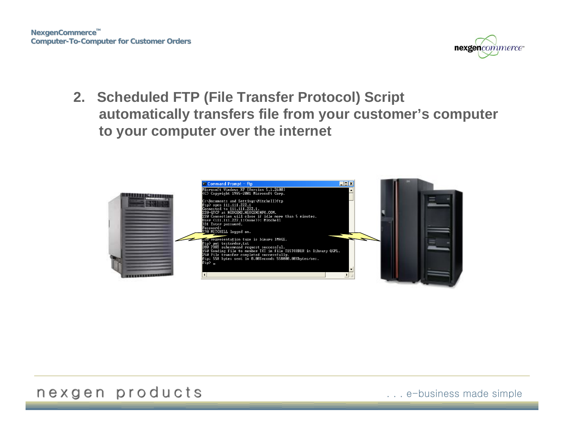**NexgenCommerce<sup>™</sup> Computer-To-Computer for Customer Orders**



**2. Scheduled FTP (File Transfer Protocol) Script automatically transfers file from your customer's computer to your computer over the internet**



#### nexgen products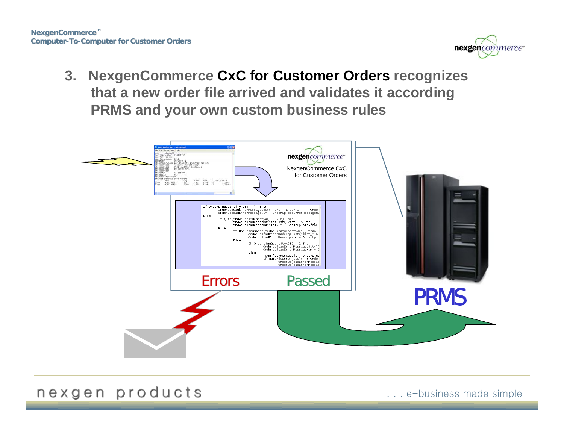

**3. NexgenCommerce CxC for Customer Orders recognizes that a new order file arrived and validates it according PRMS and your own custom business rules** 



nexgen products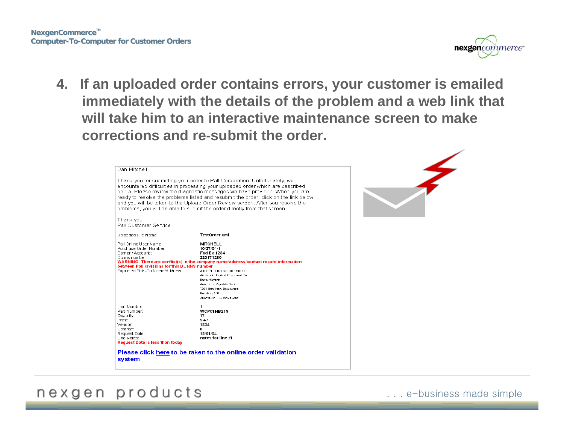**NexgenCommerce<sup>™</sup> Computer-To-Computer for Customer Orders**



**4. If an uploaded order contains errors, your customer is emailed immediately with the details of the problem and a web link that will take him to an interactive maintenance screen to make corrections and re-submit the order.**

| Dan Mitchell.                                                                           |                                                                                                                                                                                                                                                                                                                                     |  |
|-----------------------------------------------------------------------------------------|-------------------------------------------------------------------------------------------------------------------------------------------------------------------------------------------------------------------------------------------------------------------------------------------------------------------------------------|--|
|                                                                                         |                                                                                                                                                                                                                                                                                                                                     |  |
|                                                                                         | Thank-you for submitting your order to Pall Corporation, Unfortunately, we<br>encountered difficulties in processing your uploaded order which are described<br>below. Please review the diagnostic messages we have provided. When you are<br>ready to resolve the problems listed and resubmit the order, click on the link below |  |
|                                                                                         | and you will be taken to the Upload Order Review screen. After you resolve the<br>problems, you will be able to submit the order directly from that screen.                                                                                                                                                                         |  |
| Thank you,<br>Pall Customer Service                                                     |                                                                                                                                                                                                                                                                                                                                     |  |
| Uploaded File Name:                                                                     | TestOrder.xml                                                                                                                                                                                                                                                                                                                       |  |
| Pall Online User Name:<br>Purchase Order Number:<br>Carrier / Account:<br>Dunns number. | <b>MTCHELL</b><br>10/27/04-1<br><b>Fed Ex 1234</b><br>220171280<br>WARNING: There are conflict(s) in the company name/address/contact record information                                                                                                                                                                            |  |
| between Pall divisions for this DUNNS number<br>Expected Ship-To Name/Address:          | AIR PRODUCTS & CHEMICAL<br>Air Products And Chemical Co.<br>Dave Meyers<br>Accounts Payable Dept.<br>7201 Hamilton Boulevard<br>Building 456                                                                                                                                                                                        |  |
|                                                                                         | Allento v.n., P.A. 18195-2501                                                                                                                                                                                                                                                                                                       |  |
| Line Number:<br>Part Number:<br>Quantity:<br>Price:<br>Vendor.<br>Contract:             | 1<br>WCP01NB21S<br>17<br>5.47<br>1234<br>0                                                                                                                                                                                                                                                                                          |  |
| Request Date:<br>Line Notes:<br>Request Date is less than today                         | 12/01/04<br>notes for line #1                                                                                                                                                                                                                                                                                                       |  |
| system                                                                                  | Please click here to be taken to the online order validation                                                                                                                                                                                                                                                                        |  |

#### nexgen products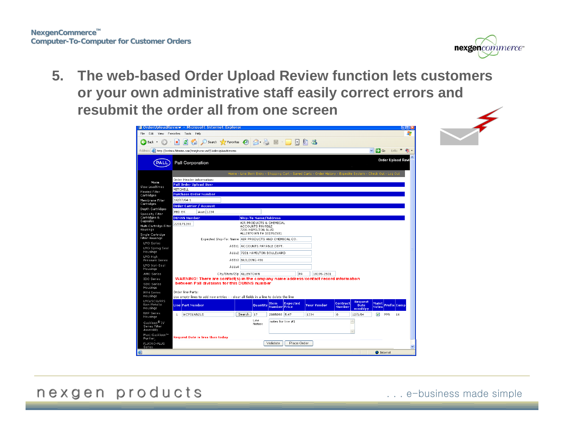

**5. The web-based Order Upload Review function lets customers or your own administrative staff easily correct errors and resubmit the order all from one screen**

|                                                                         |                                  | @ OrderUploadReview - Microsoft Internet Explorer                                                                                                                                                                             |                    |                                                                                             |                      |                 |      |                                                                                                              |                           |                                         |                              |                          | uux<br>Æ  |
|-------------------------------------------------------------------------|----------------------------------|-------------------------------------------------------------------------------------------------------------------------------------------------------------------------------------------------------------------------------|--------------------|---------------------------------------------------------------------------------------------|----------------------|-----------------|------|--------------------------------------------------------------------------------------------------------------|---------------------------|-----------------------------------------|------------------------------|--------------------------|-----------|
| Edit                                                                    | View Favorites Tools Help<br>la۱ |                                                                                                                                                                                                                               |                    |                                                                                             |                      |                 |      |                                                                                                              |                           |                                         |                              |                          |           |
| $\bigodot$ Back $\star$                                                 | ×                                | m                                                                                                                                                                                                                             |                    |                                                                                             |                      |                 |      |                                                                                                              |                           |                                         |                              |                          |           |
|                                                                         |                                  | Address <b>&amp;</b> http://orders.filterite.com/test/nxcsc.nsf/OrderUploadReview                                                                                                                                             |                    |                                                                                             |                      |                 |      |                                                                                                              |                           |                                         | $\vee$ $\Rightarrow$ Go      | Links $\rightarrow$      | $\bullet$ |
| PALL                                                                    | <b>Pall Corporation</b>          |                                                                                                                                                                                                                               |                    |                                                                                             |                      |                 |      |                                                                                                              |                           |                                         |                              | <b>Order Upload Revi</b> |           |
|                                                                         |                                  |                                                                                                                                                                                                                               |                    |                                                                                             |                      |                 |      |                                                                                                              |                           |                                         |                              |                          |           |
|                                                                         |                                  | Order Header information:                                                                                                                                                                                                     |                    |                                                                                             |                      |                 |      | Home - Line Item Entry - Shopping Cart - Saved Carts - Order History - Expedite System - Check Out - Log Out |                           |                                         |                              |                          |           |
| Main                                                                    |                                  | <b>Pall Order Upload User</b>                                                                                                                                                                                                 |                    |                                                                                             |                      |                 |      |                                                                                                              |                           |                                         |                              |                          |           |
| View Leadtimes<br>Pleated Filter                                        | MITCHELL                         |                                                                                                                                                                                                                               |                    |                                                                                             |                      |                 |      |                                                                                                              |                           |                                         |                              |                          |           |
| Cartridges                                                              |                                  | <b>Purchase Order Number</b>                                                                                                                                                                                                  |                    |                                                                                             |                      |                 |      |                                                                                                              |                           |                                         |                              |                          |           |
| Membrane Filter                                                         | 10/27/04-1                       |                                                                                                                                                                                                                               |                    |                                                                                             |                      |                 |      |                                                                                                              |                           |                                         |                              |                          |           |
| Cartridges<br>Depth Cartridges                                          |                                  | <b>Order Carrier / Account</b>                                                                                                                                                                                                |                    |                                                                                             |                      |                 |      |                                                                                                              |                           |                                         |                              |                          |           |
| Specialty Filter                                                        | FED EX                           | Acct: 1234                                                                                                                                                                                                                    |                    |                                                                                             |                      |                 |      |                                                                                                              |                           |                                         |                              |                          |           |
| Cartridges &<br>Capsules                                                | <b>DUNNS Number</b>              |                                                                                                                                                                                                                               |                    | <b>Ship-To Name/Address</b>                                                                 |                      |                 |      |                                                                                                              |                           |                                         |                              |                          |           |
| Multi Cartridge Filter<br><b>Housings</b><br>Single Cartridge           | 220171280                        |                                                                                                                                                                                                                               |                    | AIR PRODUCTS & CHEMICAL<br>ACCOUNTS PAYABLE<br>7201 HAMILTON BLVD<br>ALLENTOWN PA 181952501 |                      |                 |      |                                                                                                              |                           |                                         |                              |                          |           |
| <b>Filter Housings</b>                                                  |                                  | Expected Ship-To: Name AIR PRODUCTS AND CHEMICAL CO.                                                                                                                                                                          |                    |                                                                                             |                      |                 |      |                                                                                                              |                           |                                         |                              |                          |           |
| LMO Series<br>LMO Spring Seal                                           |                                  |                                                                                                                                                                                                                               |                    | Adds1 ACCOUNTS PAYABLE DEPT.                                                                |                      |                 |      |                                                                                                              |                           |                                         |                              |                          |           |
| Housings<br>LMO High                                                    |                                  |                                                                                                                                                                                                                               |                    | Adds2 7201 HAMILTON BOULEVARD                                                               |                      |                 |      |                                                                                                              |                           |                                         |                              |                          |           |
| Pressure Series                                                         |                                  |                                                                                                                                                                                                                               | Adds3 BUILDING 456 |                                                                                             |                      |                 |      |                                                                                                              |                           |                                         |                              |                          |           |
| LMO Vari-Seal<br>Housings                                               |                                  | Adds4                                                                                                                                                                                                                         |                    |                                                                                             |                      |                 |      |                                                                                                              |                           |                                         |                              |                          |           |
| AMO Series                                                              |                                  | City/State/Zip ALLENTOWN                                                                                                                                                                                                      |                    |                                                                                             |                      | PA              |      | 18195-2501                                                                                                   |                           |                                         |                              |                          |           |
| IDO Series<br>SDO Series<br>Housings<br><b>MPH Series</b><br>Housings   | Order line Parts:                | WARNING: There are conflict(s) in the company name/address/contact record information<br>between Pall divisions for this DUNNS number<br>Use empty lines to add new entries - - clear all fields in a line to delete the line |                    |                                                                                             |                      |                 |      |                                                                                                              |                           |                                         |                              |                          |           |
| LMO/SCO/PPS<br>Non-Metallic<br>Housings                                 | <b>Line Part Number</b>          |                                                                                                                                                                                                                               |                    | <b>Quantity</b>                                                                             | Item<br>Number Price | <b>Expected</b> |      | <b>Your Vendor</b>                                                                                           | Contract<br><b>Number</b> | <b>Request</b><br><b>Date</b><br>mmddyy | <b>Maint</b><br><b>Notes</b> | Prefix Comp              |           |
| <b>NHP Series</b><br>Housings                                           | $\mathbf{1}$<br>WCP01NB21S       |                                                                                                                                                                                                                               | Search             | 17                                                                                          | 2085093 5.47         |                 | 1234 |                                                                                                              | lo.                       | 12/1/04                                 | ☑                            | PPR.<br>16               |           |
| Gaskleen <sup>®</sup> IV<br>Series Filter<br>Assembly<br>Maxi-Gaskleen™ |                                  |                                                                                                                                                                                                                               |                    | Line<br>Notes:                                                                              | notes for line #1    |                 |      |                                                                                                              |                           |                                         |                              |                          |           |
| Purifier                                                                |                                  | <b>Request Date is less than today</b>                                                                                                                                                                                        |                    |                                                                                             |                      |                 |      |                                                                                                              |                           |                                         |                              |                          |           |
| <b>FLUORO-PLUS</b><br>Series                                            |                                  |                                                                                                                                                                                                                               |                    |                                                                                             | Validate             | Place Order     |      |                                                                                                              |                           |                                         |                              |                          |           |
|                                                                         |                                  |                                                                                                                                                                                                                               |                    |                                                                                             |                      |                 |      |                                                                                                              |                           |                                         | <b>O</b> Internet            |                          |           |

nexgen products